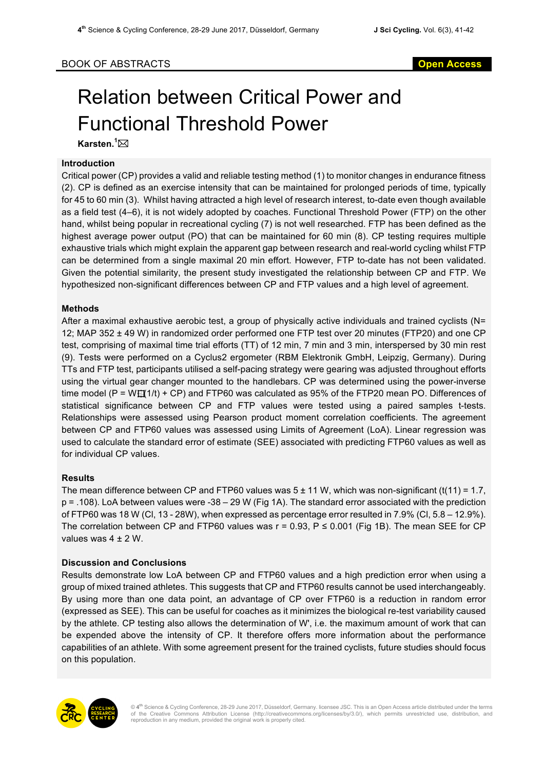# Relation between Critical Power and Functional Threshold Power

**Karsten. 1** \*

### **Introduction**

Critical power (CP) provides a valid and reliable testing method (1) to monitor changes in endurance fitness (2). CP is defined as an exercise intensity that can be maintained for prolonged periods of time, typically for 45 to 60 min (3). Whilst having attracted a high level of research interest, to-date even though available as a field test (4–6), it is not widely adopted by coaches. Functional Threshold Power (FTP) on the other hand, whilst being popular in recreational cycling (7) is not well researched. FTP has been defined as the highest average power output (PO) that can be maintained for 60 min (8). CP testing requires multiple exhaustive trials which might explain the apparent gap between research and real-world cycling whilst FTP can be determined from a single maximal 20 min effort. However, FTP to-date has not been validated. Given the potential similarity, the present study investigated the relationship between CP and FTP. We hypothesized non-significant differences between CP and FTP values and a high level of agreement.

## **Methods**

After a maximal exhaustive aerobic test, a group of physically active individuals and trained cyclists (N= 12; MAP 352 ± 49 W) in randomized order performed one FTP test over 20 minutes (FTP20) and one CP test, comprising of maximal time trial efforts (TT) of 12 min, 7 min and 3 min, interspersed by 30 min rest (9). Tests were performed on a Cyclus2 ergometer (RBM Elektronik GmbH, Leipzig, Germany). During TTs and FTP test, participants utilised a self-pacing strategy were gearing was adjusted throughout efforts using the virtual gear changer mounted to the handlebars. CP was determined using the power-inverse time model (P = W $\mathbb{H}(1/t)$  + CP) and FTP60 was calculated as 95% of the FTP20 mean PO. Differences of statistical significance between CP and FTP values were tested using a paired samples t-tests. Relationships were assessed using Pearson product moment correlation coefficients. The agreement between CP and FTP60 values was assessed using Limits of Agreement (LoA). Linear regression was used to calculate the standard error of estimate (SEE) associated with predicting FTP60 values as well as for individual CP values.

### **Results**

The mean difference between CP and FTP60 values was  $5 \pm 11$  W, which was non-significant (t(11) = 1.7, p = .108). LoA between values were -38 – 29 W (Fig 1A). The standard error associated with the prediction of FTP60 was 18 W (Cl, 13 - 28W), when expressed as percentage error resulted in 7.9% (Cl, 5.8 – 12.9%). The correlation between CP and FTP60 values was  $r = 0.93$ ,  $P \le 0.001$  (Fig 1B). The mean SEE for CP values was 4 ± 2 W.

### **Discussion and Conclusions**

Results demonstrate low LoA between CP and FTP60 values and a high prediction error when using a group of mixed trained athletes. This suggests that CP and FTP60 results cannot be used interchangeably. By using more than one data point, an advantage of CP over FTP60 is a reduction in random error (expressed as SEE). This can be useful for coaches as it minimizes the biological re-test variability caused by the athlete. CP testing also allows the determination of W', i.e. the maximum amount of work that can be expended above the intensity of CP. It therefore offers more information about the performance capabilities of an athlete. With some agreement present for the trained cyclists, future studies should focus on this population.



© 4<sup>th</sup> Science & Cycling Conference, 28-29 June 2017, Düsseldorf, Germany. licensee JSC. This is an Open Access article distributed under the terms<br>of the Creative Commons Attribution License (http://creativecommons.org/l reproduction in any medium, provided the original work is properly cited.